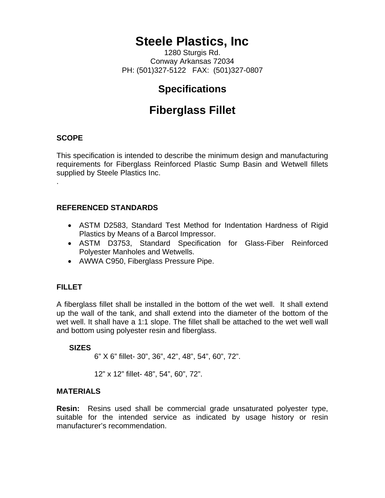# **Steele Plastics, Inc**

1280 Sturgis Rd. Conway Arkansas 72034 PH: (501)327-5122 FAX: (501)327-0807

### **Specifications**

## **Fiberglass Fillet**

#### **SCOPE**

.

This specification is intended to describe the minimum design and manufacturing requirements for Fiberglass Reinforced Plastic Sump Basin and Wetwell fillets supplied by Steele Plastics Inc.

#### **REFERENCED STANDARDS**

- ASTM D2583, Standard Test Method for Indentation Hardness of Rigid Plastics by Means of a Barcol Impressor.
- ASTM D3753, Standard Specification for Glass-Fiber Reinforced Polyester Manholes and Wetwells.
- AWWA C950, Fiberglass Pressure Pipe.

#### **FILLET**

A fiberglass fillet shall be installed in the bottom of the wet well. It shall extend up the wall of the tank, and shall extend into the diameter of the bottom of the wet well. It shall have a 1:1 slope. The fillet shall be attached to the wet well wall and bottom using polyester resin and fiberglass.

#### **SIZES**

6" X 6" fillet- 30", 36", 42", 48", 54", 60", 72".

12" x 12" fillet- 48", 54", 60", 72".

#### **MATERIALS**

**Resin:** Resins used shall be commercial grade unsaturated polyester type, suitable for the intended service as indicated by usage history or resin manufacturer's recommendation.